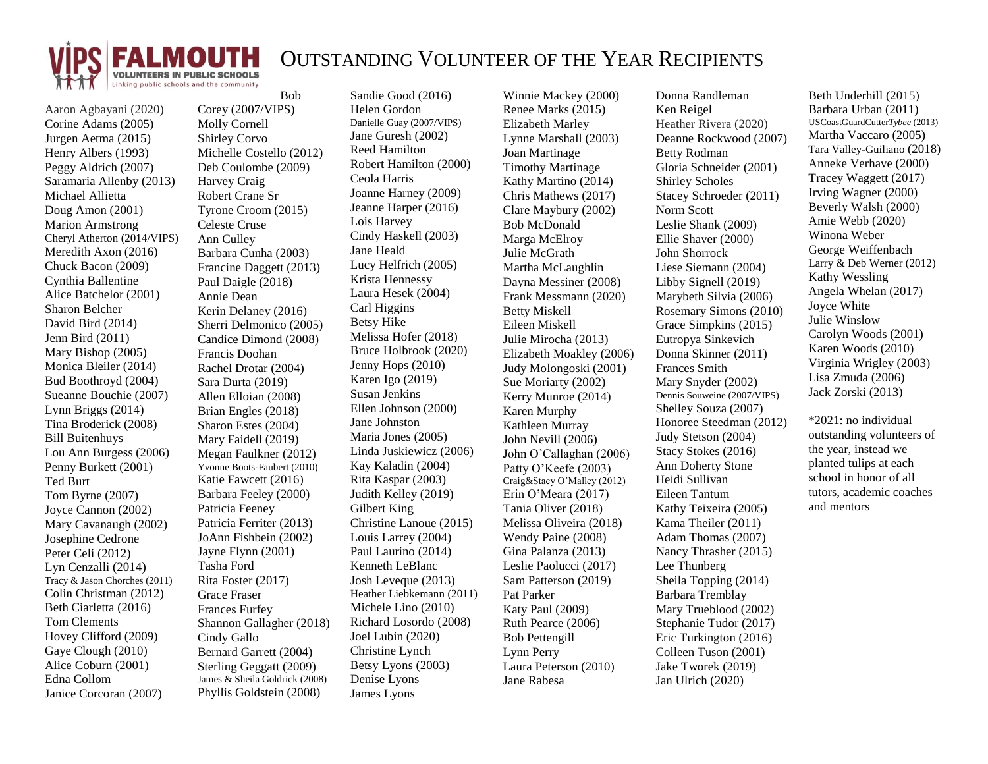

## OUTSTANDING VOLUNTEER OF THE YEAR RECIPIENTS

Aaron Agbayani (2020) Corine Adams (2005) Jurgen Aetma (2015) Henry Albers (1993) Peggy Aldrich (2007) Saramaria Allenby (2013) Michael Allietta Doug Amon (2001) Marion Armstrong Cheryl Atherton (2014/VIPS) Meredith Axon (2016) Chuck Bacon (2009) Cynthia Ballentine Alice Batchelor (2001) Sharon Belcher David Bird (2014) Jenn Bird (2011) Mary Bishop (2005) Monica Bleiler (2014) Bud Boothroyd (2004) Sueanne Bouchie (2007) Lynn Briggs (2014) Tina Broderick (2008) Bill Buitenhuys Lou Ann Burgess (2006) Penny Burkett (2001) Ted Burt Tom Byrne (2007) Joyce Cannon (2002) Mary Cavanaugh (2002) Josephine Cedrone Peter Celi (2012) Lyn Cenzalli (2014) Tracy & Jason Chorches (2011) Colin Christman (2012) Beth Ciarletta (2016) Tom Clements Hovey Clifford (2009) Gaye Clough (2010) Alice Coburn (2001) Edna Collom Janice Corcoran (2007)

Bob Corey (2007/VIPS) Molly Cornell Shirley Corvo Michelle Costello (2012) Deb Coulombe (2009) Harvey Craig Robert Crane Sr Tyrone Croom (2015) Celeste Cruse Ann Culley Barbara Cunha (2003) Francine Daggett (2013) Paul Daigle (2018) Annie Dean Kerin Delaney (2016) Sherri Delmonico (2005) Candice Dimond (2008) Francis Doohan Rachel Drotar (2004) Sara Durta (2019) Allen Elloian (2008) Brian Engles (2018) Sharon Estes (2004) Mary Faidell (2019) Megan Faulkner (2012) Yvonne Boots-Faubert (2010) Katie Fawcett (2016) Barbara Feeley (2000) Patricia Feeney Patricia Ferriter (2013) JoAnn Fishbein (2002) Jayne Flynn (2001) Tasha Ford Rita Foster (2017) Grace Fraser Frances Furfey Shannon Gallagher (2018) Cindy Gallo Bernard Garrett (2004) Sterling Geggatt (2009) James & Sheila Goldrick (2008) Phyllis Goldstein (2008)

Sandie Good (2016) Helen Gordon Danielle Guay (2007/VIPS) Jane Guresh (2002) Reed Hamilton Robert Hamilton (2000) Ceola Harris Joanne Harney (2009) Jeanne Harper (2016) Lois Harvey Cindy Haskell (2003) Jane Heald Lucy Helfrich (2005) Krista Hennessy Laura Hesek (2004) Carl Higgins Betsy Hike Melissa Hofer (2018) Bruce Holbrook (2020) Jenny Hops (2010) Karen Igo (2019) Susan Jenkins Ellen Johnson (2000) Jane Johnston Maria Jones (2005) Linda Juskiewicz (2006) Kay Kaladin (2004) Rita Kaspar (2003) Judith Kelley (2019) Gilbert King Christine Lanoue (2015) Louis Larrey (2004) Paul Laurino (2014) Kenneth LeBlanc Josh Leveque (2013) Heather Liebkemann (2011) Michele Lino (2010) Richard Losordo (2008) Joel Lubin (2020) Christine Lynch Betsy Lyons (2003) Denise Lyons James Lyons

Winnie Mackey (2000) Renee Marks (2015) Elizabeth Marley Lynne Marshall (2003) Joan Martinage Timothy Martinage Kathy Martino (2014) Chris Mathews (2017) Clare Maybury (2002) Bob McDonald Marga McElroy Julie McGrath Martha McLaughlin Dayna Messiner (2008) Frank Messmann (2020) Betty Miskell Eileen Miskell Julie Mirocha (2013) Elizabeth Moakley (2006) Judy Molongoski (2001) Sue Moriarty (2002) Kerry Munroe (2014) Karen Murphy Kathleen Murray John Nevill (2006) John O'Callaghan (2006) Patty O'Keefe (2003) Craig&Stacy O'Malley (2012) Erin O'Meara (2017) Tania Oliver (2018) Melissa Oliveira (2018) Wendy Paine (2008) Gina Palanza (2013) Leslie Paolucci (2017) Sam Patterson (2019) Pat Parker Katy Paul (2009) Ruth Pearce (2006) Bob Pettengill Lynn Perry Laura Peterson (2010) Jane Rabesa

Donna Randleman Ken Reigel Heather Rivera (2020) Deanne Rockwood (2007) Betty Rodman Gloria Schneider (2001) Shirley Scholes Stacey Schroeder (2011) Norm Scott Leslie Shank (2009) Ellie Shaver (2000) John Shorrock Liese Siemann (2004) Libby Signell (2019) Marybeth Silvia (2006) Rosemary Simons (2010) Grace Simpkins (2015) Eutropya Sinkevich Donna Skinner (2011) Frances Smith Mary Snyder (2002) Dennis Souweine (2007/VIPS) Shelley Souza (2007) Honoree Steedman (2012) Judy Stetson (2004) Stacy Stokes (2016) Ann Doherty Stone Heidi Sullivan Eileen Tantum Kathy Teixeira (2005) Kama Theiler (2011) Adam Thomas (2007) Nancy Thrasher (2015) Lee Thunberg Sheila Topping (2014) Barbara Tremblay Mary Trueblood (2002) Stephanie Tudor (2017) Eric Turkington (2016) Colleen Tuson (2001) Jake Tworek (2019) Jan Ulrich (2020)

Beth Underhill (2015) Barbara Urban (2011) USCoastGuardCutter*Tybee* (2013) Martha Vaccaro (2005) Tara Valley-Guiliano (2018) Anneke Verhave (2000) Tracey Waggett (2017) Irving Wagner (2000) Beverly Walsh (2000) Amie Webb (2020) Winona Weber George Weiffenbach Larry & Deb Werner (2012) Kathy Wessling Angela Whelan (2017) Joyce White Julie Winslow Carolyn Woods (2001) Karen Woods (2010) Virginia Wrigley (2003) Lisa Zmuda (2006) Jack Zorski (2013)

\*2021: no individual outstanding volunteers of the year, instead we planted tulips at each school in honor of all tutors, academic coaches and mentors